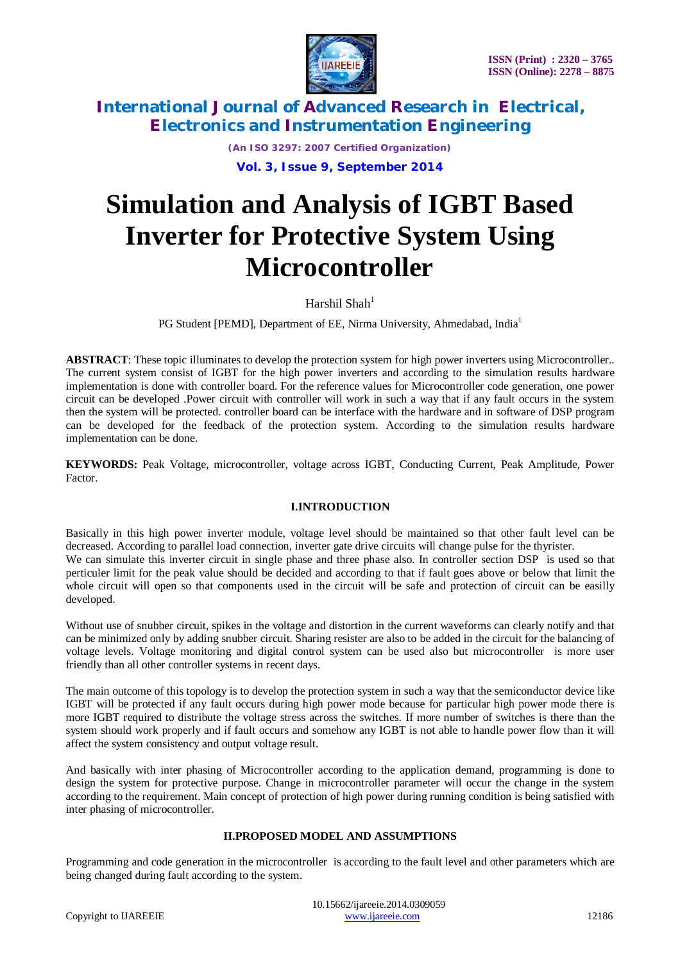

*(An ISO 3297: 2007 Certified Organization)* **Vol. 3, Issue 9, September 2014**

# **Simulation and Analysis of IGBT Based Inverter for Protective System Using Microcontroller**

Harshil Shah $<sup>1</sup>$ </sup>

PG Student [PEMD], Department of EE, Nirma University, Ahmedabad, India<sup>1</sup>

**ABSTRACT**: These topic illuminates to develop the protection system for high power inverters using Microcontroller.. The current system consist of IGBT for the high power inverters and according to the simulation results hardware implementation is done with controller board. For the reference values for Microcontroller code generation, one power circuit can be developed .Power circuit with controller will work in such a way that if any fault occurs in the system then the system will be protected. controller board can be interface with the hardware and in software of DSP program can be developed for the feedback of the protection system. According to the simulation results hardware implementation can be done.

**KEYWORDS:** Peak Voltage, microcontroller, voltage across IGBT, Conducting Current, Peak Amplitude, Power Factor.

### **I.INTRODUCTION**

Basically in this high power inverter module, voltage level should be maintained so that other fault level can be decreased. According to parallel load connection, inverter gate drive circuits will change pulse for the thyrister. We can simulate this inverter circuit in single phase and three phase also. In controller section DSP is used so that perticuler limit for the peak value should be decided and according to that if fault goes above or below that limit the whole circuit will open so that components used in the circuit will be safe and protection of circuit can be easilly developed.

Without use of snubber circuit, spikes in the voltage and distortion in the current waveforms can clearly notify and that can be minimized only by adding snubber circuit. Sharing resister are also to be added in the circuit for the balancing of voltage levels. Voltage monitoring and digital control system can be used also but microcontroller is more user friendly than all other controller systems in recent days.

The main outcome of this topology is to develop the protection system in such a way that the semiconductor device like IGBT will be protected if any fault occurs during high power mode because for particular high power mode there is more IGBT required to distribute the voltage stress across the switches. If more number of switches is there than the system should work properly and if fault occurs and somehow any IGBT is not able to handle power flow than it will affect the system consistency and output voltage result.

And basically with inter phasing of Microcontroller according to the application demand, programming is done to design the system for protective purpose. Change in microcontroller parameter will occur the change in the system according to the requirement. Main concept of protection of high power during running condition is being satisfied with inter phasing of microcontroller.

### **II.PROPOSED MODEL AND ASSUMPTIONS**

Programming and code generation in the microcontroller is according to the fault level and other parameters which are being changed during fault according to the system.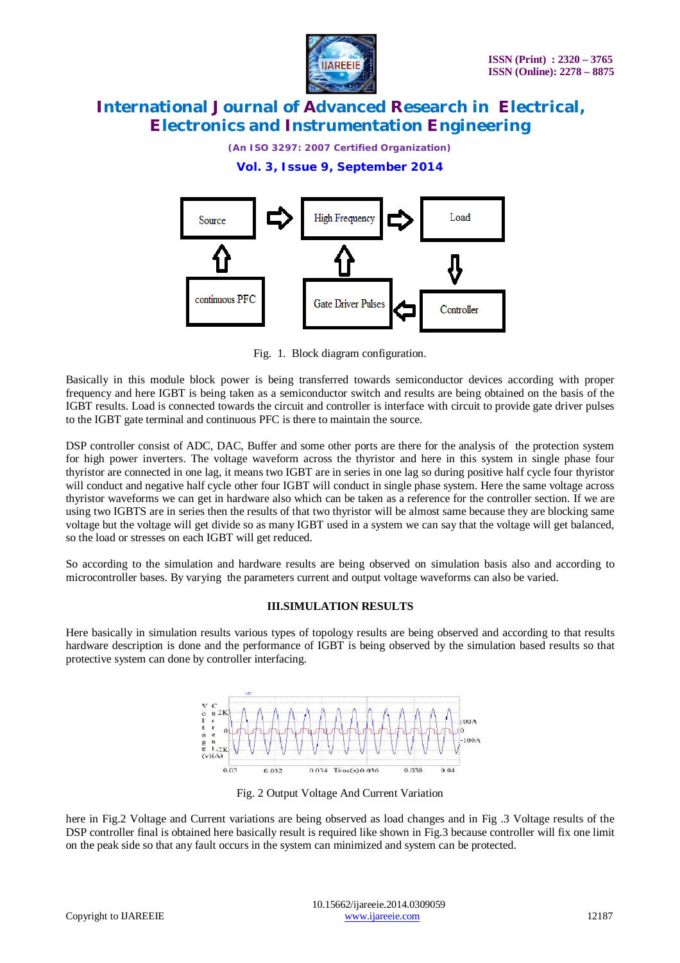

*(An ISO 3297: 2007 Certified Organization)*

**Vol. 3, Issue 9, September 2014**



Fig. 1. Block diagram configuration.

Basically in this module block power is being transferred towards semiconductor devices according with proper frequency and here IGBT is being taken as a semiconductor switch and results are being obtained on the basis of the IGBT results. Load is connected towards the circuit and controller is interface with circuit to provide gate driver pulses to the IGBT gate terminal and continuous PFC is there to maintain the source.

DSP controller consist of ADC, DAC, Buffer and some other ports are there for the analysis of the protection system for high power inverters. The voltage waveform across the thyristor and here in this system in single phase four thyristor are connected in one lag, it means two IGBT are in series in one lag so during positive half cycle four thyristor will conduct and negative half cycle other four IGBT will conduct in single phase system. Here the same voltage across thyristor waveforms we can get in hardware also which can be taken as a reference for the controller section. If we are using two IGBTS are in series then the results of that two thyristor will be almost same because they are blocking same voltage but the voltage will get divide so as many IGBT used in a system we can say that the voltage will get balanced, so the load or stresses on each IGBT will get reduced.

So according to the simulation and hardware results are being observed on simulation basis also and according to microcontroller bases. By varying the parameters current and output voltage waveforms can also be varied.

### **III.SIMULATION RESULTS**

Here basically in simulation results various types of topology results are being observed and according to that results hardware description is done and the performance of IGBT is being observed by the simulation based results so that protective system can done by controller interfacing.



Fig. 2 Output Voltage And Current Variation

here in Fig.2 Voltage and Current variations are being observed as load changes and in Fig .3 Voltage results of the DSP controller final is obtained here basically result is required like shown in Fig.3 because controller will fix one limit on the peak side so that any fault occurs in the system can minimized and system can be protected.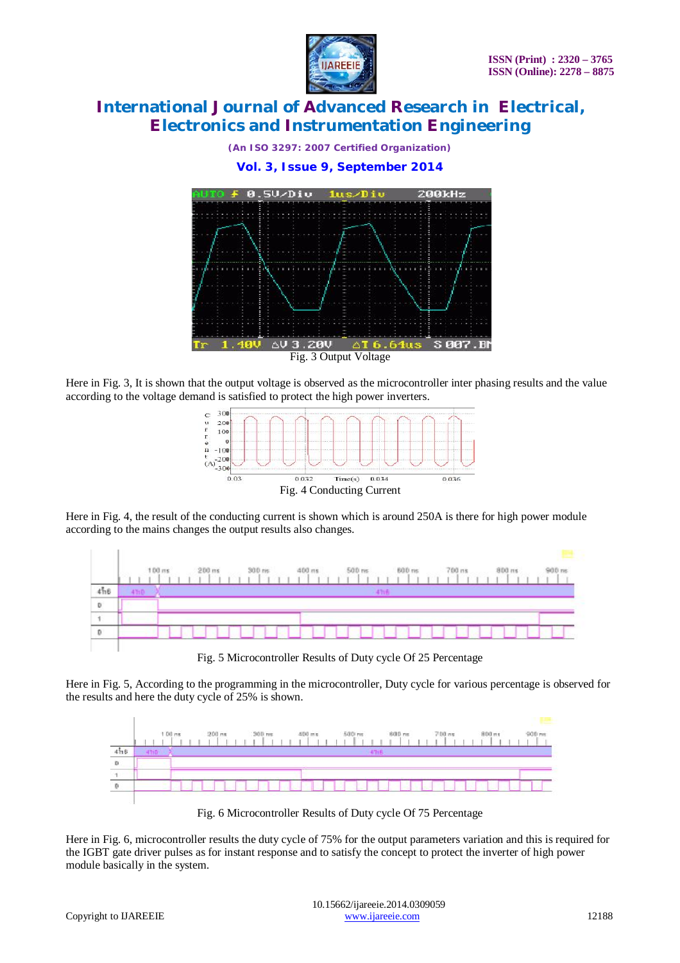

*(An ISO 3297: 2007 Certified Organization)*

**Vol. 3, Issue 9, September 2014**



Here in Fig. 3, It is shown that the output voltage is observed as the microcontroller inter phasing results and the value according to the voltage demand is satisfied to protect the high power inverters.



Here in Fig. 4, the result of the conducting current is shown which is around 250A is there for high power module according to the mains changes the output results also changes.



Fig. 5 Microcontroller Results of Duty cycle Of 25 Percentage

Here in Fig. 5, According to the programming in the microcontroller, Duty cycle for various percentage is observed for the results and here the duty cycle of 25% is shown.



Fig. 6 Microcontroller Results of Duty cycle Of 75 Percentage

Here in Fig. 6, microcontroller results the duty cycle of 75% for the output parameters variation and this is required for the IGBT gate driver pulses as for instant response and to satisfy the concept to protect the inverter of high power module basically in the system.